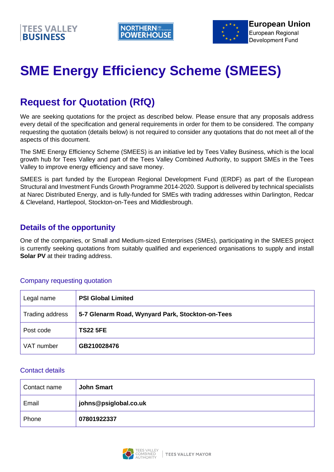



# **SME Energy Efficiency Scheme (SMEES)**

# **Request for Quotation (RfQ)**

We are seeking quotations for the project as described below. Please ensure that any proposals address every detail of the specification and general requirements in order for them to be considered. The company requesting the quotation (details below) is not required to consider any quotations that do not meet all of the aspects of this document.

The SME Energy Efficiency Scheme (SMEES) is an initiative led by Tees Valley Business, which is the local growth hub for Tees Valley and part of the Tees Valley Combined Authority, to support SMEs in the Tees Valley to improve energy efficiency and save money.

SMEES is part funded by the European Regional Development Fund (ERDF) as part of the European Structural and Investment Funds Growth Programme 2014-2020. Support is delivered by technical specialists at Narec Distributed Energy, and is fully-funded for SMEs with trading addresses within Darlington, Redcar & Cleveland, Hartlepool, Stockton-on-Tees and Middlesbrough.

### **Details of the opportunity**

One of the companies, or Small and Medium-sized Enterprises (SMEs), participating in the SMEES project is currently seeking quotations from suitably qualified and experienced organisations to supply and install **Solar PV** at their trading address.

#### Company requesting quotation

| Legal name      | <b>PSI Global Limited</b>                        |
|-----------------|--------------------------------------------------|
| Trading address | 5-7 Glenarm Road, Wynyard Park, Stockton-on-Tees |
| Post code       | <b>TS22 5FE</b>                                  |
| VAT number      | GB210028476                                      |

#### Contact details

| Contact name | <b>John Smart</b>     |
|--------------|-----------------------|
| Email        | johns@psiglobal.co.uk |
| Phone        | 07801922337           |

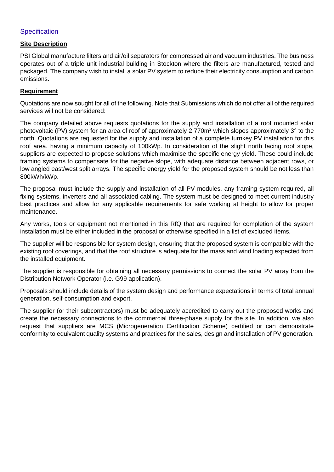#### **Specification**

#### **Site Description**

PSI Global manufacture filters and air/oil separators for compressed air and vacuum industries. The business operates out of a triple unit industrial building in Stockton where the filters are manufactured, tested and packaged. The company wish to install a solar PV system to reduce their electricity consumption and carbon emissions.

#### **Requirement**

Quotations are now sought for all of the following. Note that Submissions which do not offer all of the required services will not be considered:

The company detailed above requests quotations for the supply and installation of a roof mounted solar photovoltaic (PV) system for an area of roof of approximately  $2,770m^2$  which slopes approximately 3° to the north. Quotations are requested for the supply and installation of a complete turnkey PV installation for this roof area. having a minimum capacity of 100kWp. In consideration of the slight north facing roof slope, suppliers are expected to propose solutions which maximise the specific energy yield. These could include framing systems to compensate for the negative slope, with adequate distance between adjacent rows, or low angled east/west split arrays. The specific energy yield for the proposed system should be not less than 800kWh/kWp.

The proposal must include the supply and installation of all PV modules, any framing system required, all fixing systems, inverters and all associated cabling. The system must be designed to meet current industry best practices and allow for any applicable requirements for safe working at height to allow for proper maintenance.

Any works, tools or equipment not mentioned in this RfQ that are required for completion of the system installation must be either included in the proposal or otherwise specified in a list of excluded items.

The supplier will be responsible for system design, ensuring that the proposed system is compatible with the existing roof coverings, and that the roof structure is adequate for the mass and wind loading expected from the installed equipment.

The supplier is responsible for obtaining all necessary permissions to connect the solar PV array from the Distribution Network Operator (i.e. G99 application).

Proposals should include details of the system design and performance expectations in terms of total annual generation, self-consumption and export.

The supplier (or their subcontractors) must be adequately accredited to carry out the proposed works and create the necessary connections to the commercial three-phase supply for the site. In addition, we also request that suppliers are MCS (Microgeneration Certification Scheme) certified or can demonstrate conformity to equivalent quality systems and practices for the sales, design and installation of PV generation.